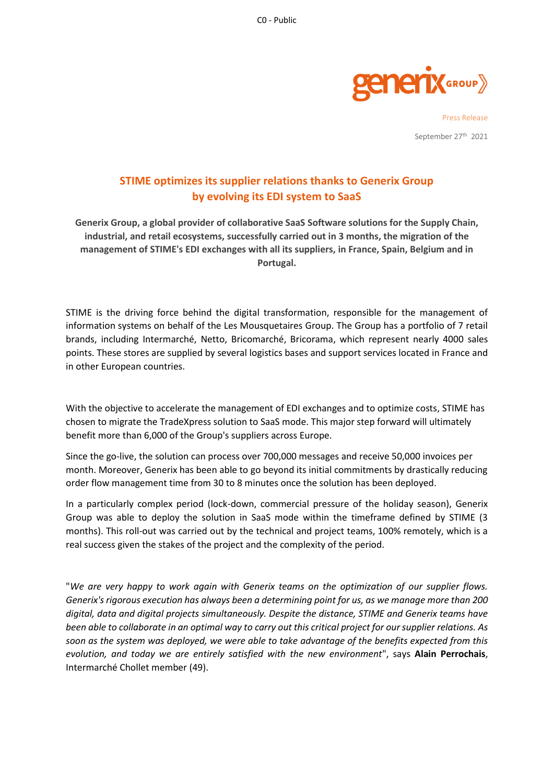

Press Release September 27<sup>th</sup> 2021

## **STIME optimizes its supplier relations thanks to Generix Group by evolving its EDI system to SaaS**

**Generix Group, a global provider of collaborative SaaS Software solutions for the Supply Chain, industrial, and retail ecosystems, successfully carried out in 3 months, the migration of the management of STIME's EDI exchanges with all its suppliers, in France, Spain, Belgium and in Portugal.**

STIME is the driving force behind the digital transformation, responsible for the management of information systems on behalf of the Les Mousquetaires Group. The Group has a portfolio of 7 retail brands, including Intermarché, Netto, Bricomarché, Bricorama, which represent nearly 4000 sales points. These stores are supplied by several logistics bases and support services located in France and in other European countries.

With the objective to accelerate the management of EDI exchanges and to optimize costs, STIME has chosen to migrate the TradeXpress solution to SaaS mode. This major step forward will ultimately benefit more than 6,000 of the Group's suppliers across Europe.

Since the go-live, the solution can process over 700,000 messages and receive 50,000 invoices per month. Moreover, Generix has been able to go beyond its initial commitments by drastically reducing order flow management time from 30 to 8 minutes once the solution has been deployed.

In a particularly complex period (lock-down, commercial pressure of the holiday season), Generix Group was able to deploy the solution in SaaS mode within the timeframe defined by STIME (3 months). This roll-out was carried out by the technical and project teams, 100% remotely, which is a real success given the stakes of the project and the complexity of the period.

"*We are very happy to work again with Generix teams on the optimization of our supplier flows. Generix's rigorous execution has always been a determining point for us, as we manage more than 200 digital, data and digital projects simultaneously. Despite the distance, STIME and Generix teams have been able to collaborate in an optimal way to carry out this critical project for our supplier relations. As soon as the system was deployed, we were able to take advantage of the benefits expected from this evolution, and today we are entirely satisfied with the new environment*", says **Alain Perrochais**, Intermarché Chollet member (49).